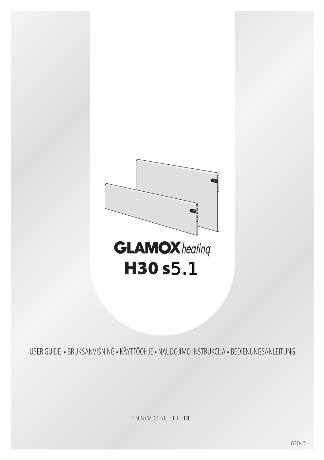

USER GUIDE · BRUKSANVISNING · KÄYTTÖOHJE · NAUDOJIMO INSTRUKCIJA · BEDIENUNGSANLEITUNG

EN NO/DK SE FILT DE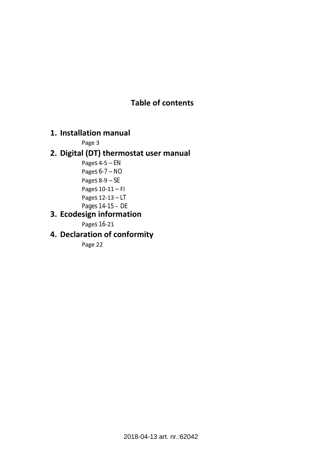## **Table of contents**

### **1. Installation manual**

Page 3

### **2. Digital (DT) thermostat user manual**

Pages 4-5 – EN Pages 6-7 – NO Pages 8-9 – SE Pages 10-11 – FI Pages 12-13 – LT Pages 14-15 – DE

### **3. Ecodesign information**

Pages 16-21

# **4. Declaration of conformity**

Page 22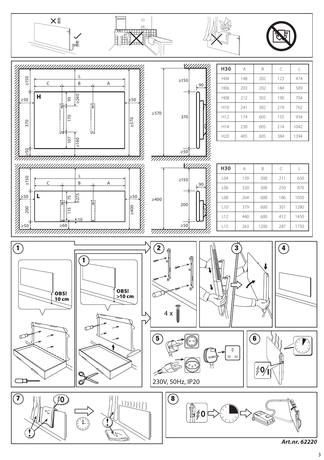







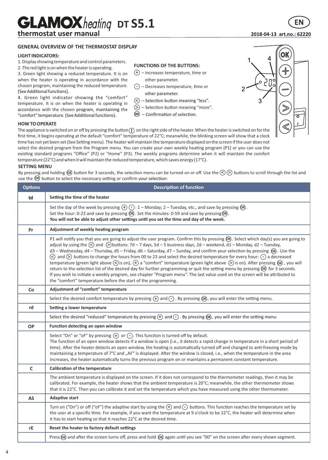# **GLAMOX** heating DT S5.1

### thermostat user manual

#### **GENERAL OVERVIEW OF THE THERMOSTAT DISPLAY**

#### **LIGHT INDICATORS:**

- 1. Display showing temperature and control parameters.
- 2. The red light is on when the heater is operating.

3. Green light showing a reduced temperature. It is on when the heater is operating in accordance with the chosen program, maintaining the reduced temperature.<br>(See Additional functions).

temperature. It is on when the heater is operating in accordance with the chosen program, maintaining the (See Additional functions).<br>4. Green light indicator showing the "comfort"  $\bigcap_{n=0}^{\infty}$  of the state. 4. Green light indicator showing the "comfort"  $\odot$  – Selection button meaning "less". "comfort" temperature. (See Additional functions). **OK** – Confirmation of selection.

#### **HOW TO OPERATE**

The appliance is switched on or off by pressing the button  $\cap$  on the right side of the heater. When the heater is switched on for the first time, it begins operating at the default "comfort" temperature of 22°C; meanwhile, the blinking screen will show that a clock time has not yet been set (See Setting menu). The heater will maintain the temperature displayed on the screen if the user does not select the desired program from the Program menu. You can create your own weekly heating program (P1) or you can use the existing standard programs "Office" (P2) or "Home" (P3). The weekly programs determine when it will maintain the comfort temperature (22°C) and when it will maintain the reduced temperature, which saves energy (17°C).

#### **SETTING MENU**

By pressing and holding  $\omega$  button for 3 seconds, the selection menu can be turned on or off. Use the  $\leq$   $\geq$  buttons to scroll through the list and use the  $\circledR$  button to select the necessary setting or confirm your selection:

| <b>Options</b> | <b>Description of function</b>                                                                                                                                                                                                                                                                                                                                                                                                                                                                                                                                                                                                                                                                                                                                                                                                                                                                                                                                                                                                                                                        |  |  |  |
|----------------|---------------------------------------------------------------------------------------------------------------------------------------------------------------------------------------------------------------------------------------------------------------------------------------------------------------------------------------------------------------------------------------------------------------------------------------------------------------------------------------------------------------------------------------------------------------------------------------------------------------------------------------------------------------------------------------------------------------------------------------------------------------------------------------------------------------------------------------------------------------------------------------------------------------------------------------------------------------------------------------------------------------------------------------------------------------------------------------|--|--|--|
| td             | Setting the time of the heater                                                                                                                                                                                                                                                                                                                                                                                                                                                                                                                                                                                                                                                                                                                                                                                                                                                                                                                                                                                                                                                        |  |  |  |
|                | Set the day of the week by pressing $(+)$ (-): 1 – Monday; 2 – Tuesday, etc., and save by pressing $(0)$ .<br>Set the hour: 0-23 and save by pressing (OR). Set the minutes: 0-59 and save by pressing (OR).<br>You will not be able to adjust other settings until you set the time and day of the week.                                                                                                                                                                                                                                                                                                                                                                                                                                                                                                                                                                                                                                                                                                                                                                             |  |  |  |
| Pr             | Adjustment of weekly heating program                                                                                                                                                                                                                                                                                                                                                                                                                                                                                                                                                                                                                                                                                                                                                                                                                                                                                                                                                                                                                                                  |  |  |  |
|                | P1 will notify you that you are going to adjust the user program. Confirm this by pressing $QR$ . Select which day(s) you are going to<br>adjust by using the $\textcircled{\textless}$ and $\textcircled{\textless}$ buttons: 7d – 7 days, 5d – 5 business days, 2d – weekend, d1 – Monday, d2 – Tuesday,<br>d3 - Wednesday, d4 - Thursday, d5 - Friday, d6 - Saturday, d7 - Sunday, and confirm your selection by pressing OR . Use the<br>(<) and (>) buttons to change the hours from 00 to 23 and select the desired temperature for every hour: (-) a decreased<br>temperature (green light above $\bigcirc$ ) is on), $\bigoplus$ a "comfort" temperature (green light above $\bigcirc$ ) is on). After pressing $\emptyset$ R, you will<br>return to the selection list of the desired day for further programming or quit the setting menu by pressing OR) for 3 seconds.<br>If you wish to initiate a weekly program, see chapter "Program menu". The last value used on the screen will be attributed to<br>the "comfort" temperature before the start of the programming. |  |  |  |
| Co             | Adjustment of "comfort" temperature                                                                                                                                                                                                                                                                                                                                                                                                                                                                                                                                                                                                                                                                                                                                                                                                                                                                                                                                                                                                                                                   |  |  |  |
|                | Select the desired comfort temperature by pressing $\bigoplus$ and $\bigodot$ . By pressing $\circledR$ , you will enter the setting menu.                                                                                                                                                                                                                                                                                                                                                                                                                                                                                                                                                                                                                                                                                                                                                                                                                                                                                                                                            |  |  |  |
| rd             | Setting a lower temperature                                                                                                                                                                                                                                                                                                                                                                                                                                                                                                                                                                                                                                                                                                                                                                                                                                                                                                                                                                                                                                                           |  |  |  |
|                | Select the desired "reduced" temperature by pressing $(+)$ and $(-)$ . By pressing $($ n $)$ , you will enter the setting menu.                                                                                                                                                                                                                                                                                                                                                                                                                                                                                                                                                                                                                                                                                                                                                                                                                                                                                                                                                       |  |  |  |
| <b>OP</b>      | Function detecting an open window                                                                                                                                                                                                                                                                                                                                                                                                                                                                                                                                                                                                                                                                                                                                                                                                                                                                                                                                                                                                                                                     |  |  |  |
|                | Select "On" or "oF" by pressing $(+)$ or $(-)$ . This function is turned off by default.<br>The function of an open window detects if a window is open (i.e., it detects a rapid change in temperature in a short period of<br>time). After the heater detects an open window, the heating is automatically turned off and changed to anti-freezing mode by<br>maintaining a temperature of 7°C and "AF" is displayed. After the window is closed, i.e., when the temperature in the area<br>increases, the heater automatically turns the previous program on or maintains a permanent constant temperature.                                                                                                                                                                                                                                                                                                                                                                                                                                                                         |  |  |  |
| c              | Calibration of the temperature                                                                                                                                                                                                                                                                                                                                                                                                                                                                                                                                                                                                                                                                                                                                                                                                                                                                                                                                                                                                                                                        |  |  |  |
|                | The ambient temperature is displayed on the screen. If it does not correspond to the thermometer readings, then it may be<br>calibrated. For example, the heater shows that the ambient temperature is 20°C; meanwhile, the other thermometer shows<br>that it is 22°C. Then you can calibrate it and set the temperature which you have measured using the other thermometer.                                                                                                                                                                                                                                                                                                                                                                                                                                                                                                                                                                                                                                                                                                        |  |  |  |
| <b>AS</b>      | <b>Adaptive start</b>                                                                                                                                                                                                                                                                                                                                                                                                                                                                                                                                                                                                                                                                                                                                                                                                                                                                                                                                                                                                                                                                 |  |  |  |
|                | Turn on ("On") or off ("oF") the adaptive start by using the $(+)$ and $(-)$ buttons. This function reaches the temperature set by<br>the user at a specific time. For example, if you want the temperature at 9 o'clock to be 22°C, the heater will determine when<br>it has to start heating so that it reaches 22°C at the desired time.                                                                                                                                                                                                                                                                                                                                                                                                                                                                                                                                                                                                                                                                                                                                           |  |  |  |
| rE             | Reset the heater to factory default settings                                                                                                                                                                                                                                                                                                                                                                                                                                                                                                                                                                                                                                                                                                                                                                                                                                                                                                                                                                                                                                          |  |  |  |
|                | Press OR) and after the screen turns off, press and hold OR) again until you see "00" on the screen after every shown segment.                                                                                                                                                                                                                                                                                                                                                                                                                                                                                                                                                                                                                                                                                                                                                                                                                                                                                                                                                        |  |  |  |
|                |                                                                                                                                                                                                                                                                                                                                                                                                                                                                                                                                                                                                                                                                                                                                                                                                                                                                                                                                                                                                                                                                                       |  |  |  |

#### **FUNCTIONS OF THE BUTTONS:**

- $(+)$  Increases temperature, time or
	- other parameter.
- $\bigcirc$  Decreases temperature, time or
- 
- Selection button meaning "more".  $\odot$
- 



### **2018-04-13 art.no.: 62220**

FN